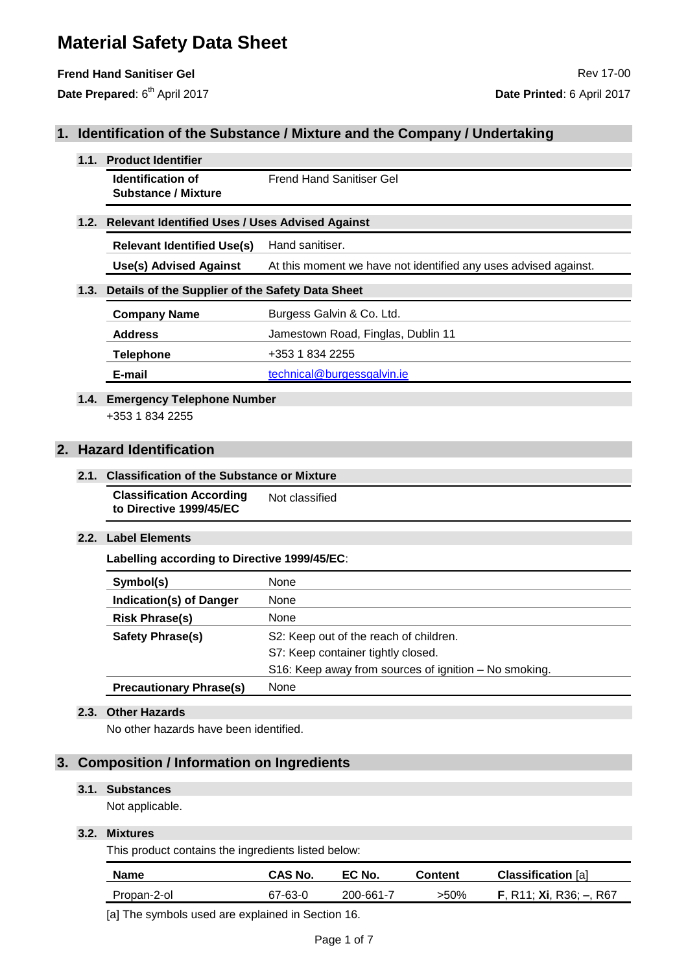## **Frend Hand Sanitiser Gel Rev 17-00** Rev 17-00

Date Prepared: 6<sup>th</sup> April 2017

## **1. Identification of the Substance / Mixture and the Company / Undertaking**

#### **1.1. Product Identifier**

**Identification of Substance / Mixture** Frend Hand Sanitiser Gel

### **1.2. Relevant Identified Uses / Uses Advised Against**

**Relevant Identified Use(s)** Hand sanitiser.

**Use(s) Advised Against** At this moment we have not identified any uses advised against.

## **1.3. Details of the Supplier of the Safety Data Sheet**

| <b>Company Name</b> | Burgess Galvin & Co. Ltd.          |
|---------------------|------------------------------------|
| <b>Address</b>      | Jamestown Road, Finglas, Dublin 11 |
| <b>Telephone</b>    | +353 1 834 2255                    |
| E-mail              | technical@burgessgalvin.ie         |

#### **1.4. Emergency Telephone Number** +353 1 834 2255

## **2. Hazard Identification**

#### **2.1. Classification of the Substance or Mixture**

#### **Classification According to Directive 1999/45/EC** Not classified

## **2.2. Label Elements**

**Labelling according to Directive 1999/45/EC**:

| Symbol(s)                      | None                                                  |
|--------------------------------|-------------------------------------------------------|
| <b>Indication(s) of Danger</b> | None                                                  |
| <b>Risk Phrase(s)</b>          | None                                                  |
| Safety Phrase(s)               | S2: Keep out of the reach of children.                |
|                                | S7: Keep container tightly closed.                    |
|                                | S16: Keep away from sources of ignition - No smoking. |
| <b>Precautionary Phrase(s)</b> | None                                                  |

### **2.3. Other Hazards**

No other hazards have been identified.

## **3. Composition / Information on Ingredients**

## **3.1. Substances**

Not applicable.

## **3.2. Mixtures**

This product contains the ingredients listed below:

| <b>Name</b> | <b>CAS No.</b> | EC No.    | Content | <b>Classification</b> [a]          |
|-------------|----------------|-----------|---------|------------------------------------|
| Propan-2-ol | 67-63-0        | 200-661-7 | >50%    | <b>F</b> , R11; Xi, R36; $-$ , R67 |

[a] The symbols used are explained in Section 16.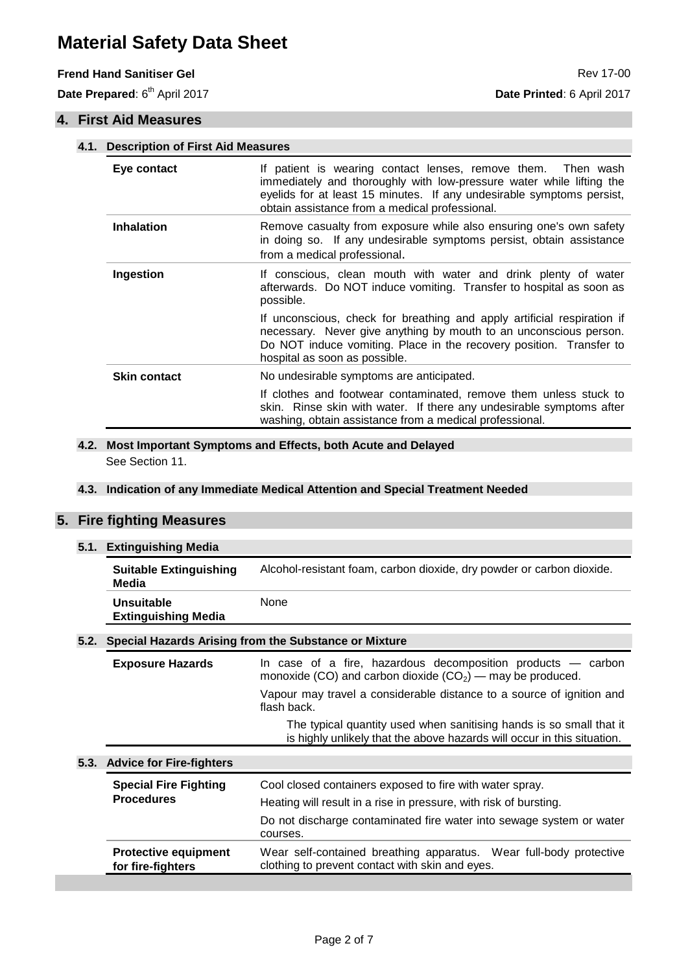## **Frend Hand Sanitiser Gel** Rev 17-00

Date Prepared: 6<sup>th</sup> April 2017

## **4. First Aid Measures**

|  |                     | 4.1. Description of First Aid Measures                                                                                                                                                                                                                             |  |  |
|--|---------------------|--------------------------------------------------------------------------------------------------------------------------------------------------------------------------------------------------------------------------------------------------------------------|--|--|
|  | Eye contact         | If patient is wearing contact lenses, remove them.<br>Then wash<br>immediately and thoroughly with low-pressure water while lifting the<br>eyelids for at least 15 minutes. If any undesirable symptoms persist,<br>obtain assistance from a medical professional. |  |  |
|  | <b>Inhalation</b>   | Remove casualty from exposure while also ensuring one's own safety<br>in doing so. If any undesirable symptoms persist, obtain assistance<br>from a medical professional.                                                                                          |  |  |
|  | Ingestion           | If conscious, clean mouth with water and drink plenty of water<br>afterwards. Do NOT induce vomiting. Transfer to hospital as soon as<br>possible.                                                                                                                 |  |  |
|  |                     | If unconscious, check for breathing and apply artificial respiration if<br>necessary. Never give anything by mouth to an unconscious person.<br>Do NOT induce vomiting. Place in the recovery position. Transfer to<br>hospital as soon as possible.               |  |  |
|  | <b>Skin contact</b> | No undesirable symptoms are anticipated.                                                                                                                                                                                                                           |  |  |
|  |                     | If clothes and footwear contaminated, remove them unless stuck to<br>skin. Rinse skin with water. If there any undesirable symptoms after<br>washing, obtain assistance from a medical professional.                                                               |  |  |

## **4.2. Most Important Symptoms and Effects, both Acute and Delayed** See Section 11.

## **4.3. Indication of any Immediate Medical Attention and Special Treatment Needed**

## **5. Fire fighting Measures**

#### **5.1. Extinguishing Media**

| <b>Suitable Extinguishing</b><br>Media          | Alcohol-resistant foam, carbon dioxide, dry powder or carbon dioxide. |
|-------------------------------------------------|-----------------------------------------------------------------------|
| <b>Unsuitable</b><br><b>Extinguishing Media</b> | None                                                                  |

#### **5.2. Special Hazards Arising from the Substance or Mixture**

| <b>Exposure Hazards</b> | In case of a fire, hazardous decomposition products $-$ carbon<br>monoxide (CO) and carbon dioxide $(CO_2)$ — may be produced.                 |
|-------------------------|------------------------------------------------------------------------------------------------------------------------------------------------|
|                         | Vapour may travel a considerable distance to a source of ignition and<br>flash back.                                                           |
|                         | The typical quantity used when sanitising hands is so small that it<br>is highly unlikely that the above hazards will occur in this situation. |

## **5.3. Advice for Fire-fighters**

| <b>Special Fire Fighting</b> | Cool closed containers exposed to fire with water spray.                         |
|------------------------------|----------------------------------------------------------------------------------|
| <b>Procedures</b>            | Heating will result in a rise in pressure, with risk of bursting.                |
|                              | Do not discharge contaminated fire water into sewage system or water<br>courses. |
| <b>Protective equipment</b>  | Wear self-contained breathing apparatus. Wear full-body protective               |
| for fire-fighters            | clothing to prevent contact with skin and eyes.                                  |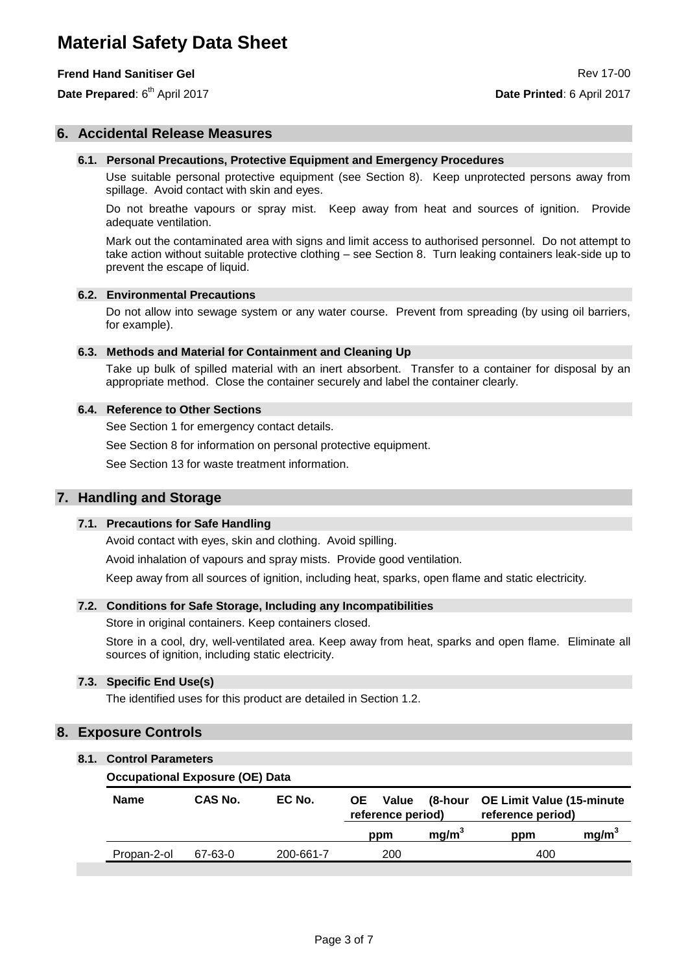## **Frend Hand Sanitiser Gel Review of the Sanitiser Gel Review of the Sanitiser Control Review of the Review of The Review of The Review of The Review of The Review of The Review of The Review of The Review of The Review of**

Date Prepared: 6<sup>th</sup> April 2017

## **6. Accidental Release Measures**

#### **6.1. Personal Precautions, Protective Equipment and Emergency Procedures**

Use suitable personal protective equipment (see Section 8). Keep unprotected persons away from spillage. Avoid contact with skin and eyes.

Do not breathe vapours or spray mist. Keep away from heat and sources of ignition. Provide adequate ventilation.

Mark out the contaminated area with signs and limit access to authorised personnel. Do not attempt to take action without suitable protective clothing – see Section 8. Turn leaking containers leak-side up to prevent the escape of liquid.

#### **6.2. Environmental Precautions**

Do not allow into sewage system or any water course. Prevent from spreading (by using oil barriers, for example).

#### **6.3. Methods and Material for Containment and Cleaning Up**

Take up bulk of spilled material with an inert absorbent. Transfer to a container for disposal by an appropriate method. Close the container securely and label the container clearly.

#### **6.4. Reference to Other Sections**

See Section 1 for emergency contact details.

See Section 8 for information on personal protective equipment.

See Section 13 for waste treatment information.

#### **7. Handling and Storage**

#### **7.1. Precautions for Safe Handling**

Avoid contact with eyes, skin and clothing. Avoid spilling.

Avoid inhalation of vapours and spray mists. Provide good ventilation.

Keep away from all sources of ignition, including heat, sparks, open flame and static electricity.

#### **7.2. Conditions for Safe Storage, Including any Incompatibilities**

Store in original containers. Keep containers closed.

Store in a cool, dry, well-ventilated area. Keep away from heat, sparks and open flame. Eliminate all sources of ignition, including static electricity.

#### **7.3. Specific End Use(s)**

The identified uses for this product are detailed in Section 1.2.

## **8. Exposure Controls**

#### **8.1. Control Parameters**

#### **Occupational Exposure (OE) Data**

| <b>Name</b> | CAS No. | EC No.    | OE.<br>Value<br>reference period) | (8-hour           | <b>OE Limit Value (15-minute</b><br>reference period) |                   |
|-------------|---------|-----------|-----------------------------------|-------------------|-------------------------------------------------------|-------------------|
|             |         |           | ppm                               | mg/m <sup>3</sup> | ppm                                                   | mg/m <sup>3</sup> |
| Propan-2-ol | 67-63-0 | 200-661-7 | 200                               |                   | 400                                                   |                   |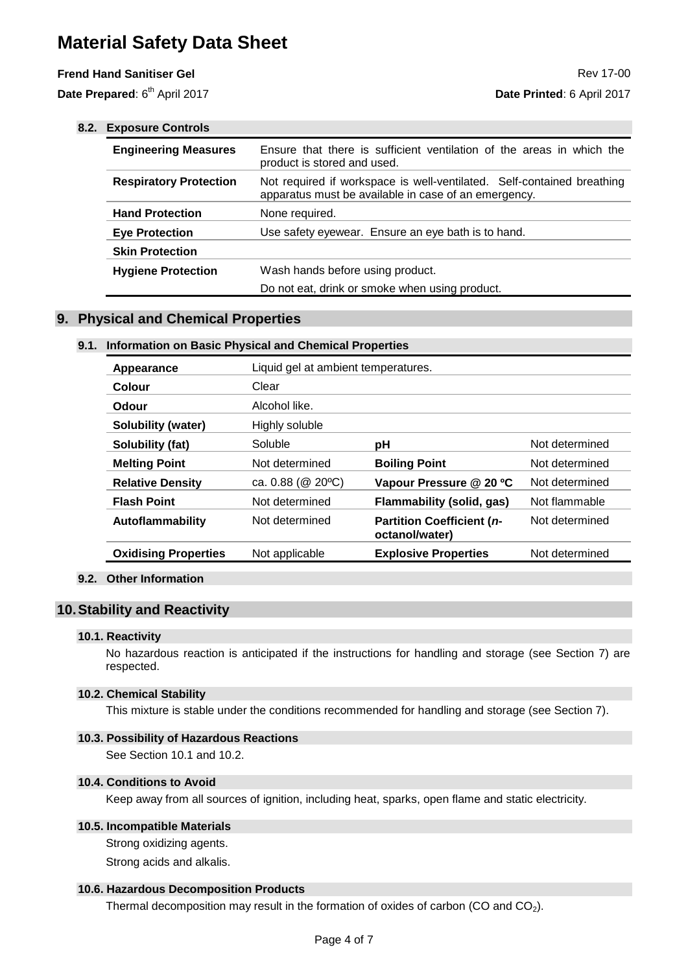## **Frend Hand Sanitiser Gel And Sanitiser Gel And Sanitiser Gel And Sanitiser Gel And Sanitiser Gel And Sanitiser Gel And Sanitiser Gel And Sanitiser Gel And Sanitiser Gel And Sanitiser Gel And Sanitiser Gel And Sanitiser Ge**

Date Prepared: 6<sup>th</sup> April 2017

| 8.2. | <b>Exposure Controls</b>      |                                                                                                                                |  |  |
|------|-------------------------------|--------------------------------------------------------------------------------------------------------------------------------|--|--|
|      | <b>Engineering Measures</b>   | Ensure that there is sufficient ventilation of the areas in which the<br>product is stored and used.                           |  |  |
|      | <b>Respiratory Protection</b> | Not required if workspace is well-ventilated. Self-contained breathing<br>apparatus must be available in case of an emergency. |  |  |
|      | <b>Hand Protection</b>        | None required.                                                                                                                 |  |  |
|      | <b>Eye Protection</b>         | Use safety eyewear. Ensure an eye bath is to hand.                                                                             |  |  |
|      | <b>Skin Protection</b>        |                                                                                                                                |  |  |
|      | <b>Hygiene Protection</b>     | Wash hands before using product.                                                                                               |  |  |
|      |                               | Do not eat, drink or smoke when using product.                                                                                 |  |  |

## **9. Physical and Chemical Properties**

#### **9.1. Information on Basic Physical and Chemical Properties**

| Appearance                  | Liquid gel at ambient temperatures. |                                                    |                |
|-----------------------------|-------------------------------------|----------------------------------------------------|----------------|
| Colour                      | Clear                               |                                                    |                |
| Odour                       | Alcohol like.                       |                                                    |                |
| <b>Solubility (water)</b>   | Highly soluble                      |                                                    |                |
| Solubility (fat)            | Soluble                             | рH                                                 | Not determined |
| <b>Melting Point</b>        | Not determined                      | <b>Boiling Point</b>                               | Not determined |
| <b>Relative Density</b>     | ca. $0.88$ ( $@20$ °C)              | Vapour Pressure @ 20 °C                            | Not determined |
| <b>Flash Point</b>          | Not determined                      | <b>Flammability (solid, gas)</b>                   | Not flammable  |
| Autoflammability            | Not determined                      | <b>Partition Coefficient (n-</b><br>octanol/water) | Not determined |
| <b>Oxidising Properties</b> | Not applicable                      | <b>Explosive Properties</b>                        | Not determined |
|                             |                                     |                                                    |                |

## **9.2. Other Information**

## **10.Stability and Reactivity**

#### **10.1. Reactivity**

No hazardous reaction is anticipated if the instructions for handling and storage (see Section 7) are respected.

#### **10.2. Chemical Stability**

This mixture is stable under the conditions recommended for handling and storage (see Section 7).

## **10.3. Possibility of Hazardous Reactions**

See Section 10.1 and 10.2.

## **10.4. Conditions to Avoid**

Keep away from all sources of ignition, including heat, sparks, open flame and static electricity.

## **10.5. Incompatible Materials**

Strong oxidizing agents.

Strong acids and alkalis.

## **10.6. Hazardous Decomposition Products**

Thermal decomposition may result in the formation of oxides of carbon  $(CO)$  and  $CO<sub>2</sub>$ ).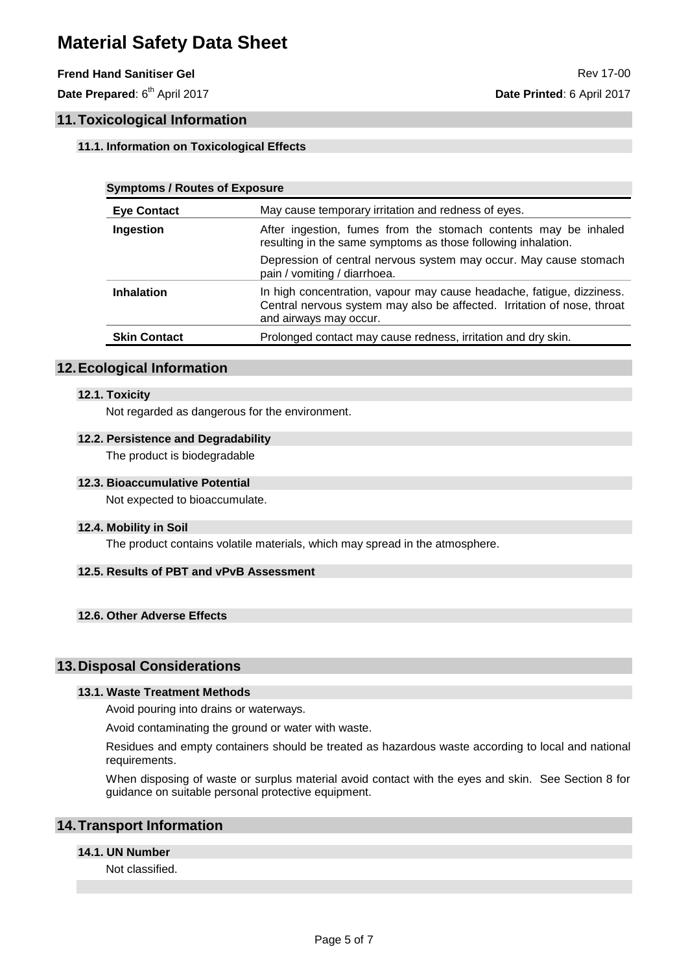## **Frend Hand Sanitiser Gel Review of the Sanitiser Gel Review of the Sanitiser Gel Review of the Sanitiser Gel Review of the Sanitiser Gel Review of the Sanitiser Gel Review of the Sanitiser Gel Review of the Sanitiser Gel**

Date Prepared: 6<sup>th</sup> April 2017

## **11.Toxicological Information**

## **11.1. Information on Toxicological Effects**

| <b>Symptoms / Routes of Exposure</b> |                                                                                                                                                                            |  |
|--------------------------------------|----------------------------------------------------------------------------------------------------------------------------------------------------------------------------|--|
| <b>Eye Contact</b>                   | May cause temporary irritation and redness of eyes.                                                                                                                        |  |
| Ingestion                            | After ingestion, fumes from the stomach contents may be inhaled<br>resulting in the same symptoms as those following inhalation.                                           |  |
|                                      | Depression of central nervous system may occur. May cause stomach<br>pain / vomiting / diarrhoea.                                                                          |  |
| <b>Inhalation</b>                    | In high concentration, vapour may cause headache, fatigue, dizziness.<br>Central nervous system may also be affected. Irritation of nose, throat<br>and airways may occur. |  |
| <b>Skin Contact</b>                  | Prolonged contact may cause redness, irritation and dry skin.                                                                                                              |  |
|                                      |                                                                                                                                                                            |  |

## **12.Ecological Information**

#### **12.1. Toxicity**

Not regarded as dangerous for the environment.

### **12.2. Persistence and Degradability**

The product is biodegradable

#### **12.3. Bioaccumulative Potential**

Not expected to bioaccumulate.

#### **12.4. Mobility in Soil**

The product contains volatile materials, which may spread in the atmosphere.

## **12.5. Results of PBT and vPvB Assessment**

## **12.6. Other Adverse Effects**

## **13.Disposal Considerations**

#### **13.1. Waste Treatment Methods**

Avoid pouring into drains or waterways.

Avoid contaminating the ground or water with waste.

Residues and empty containers should be treated as hazardous waste according to local and national requirements.

When disposing of waste or surplus material avoid contact with the eyes and skin. See Section 8 for guidance on suitable personal protective equipment.

## **14.Transport Information**

## **14.1. UN Number**

Not classified.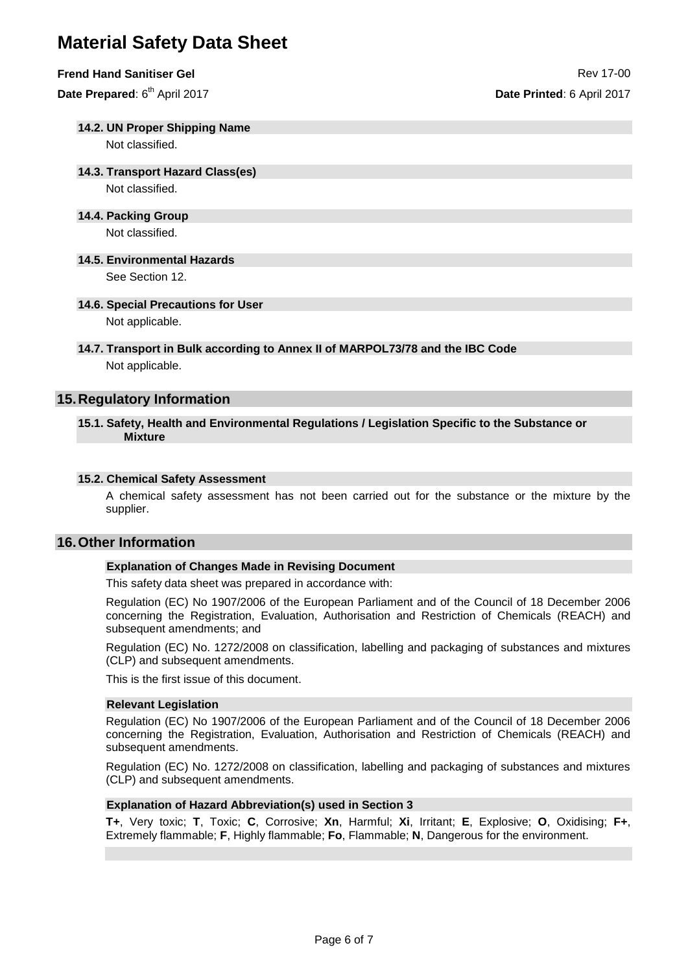#### **Frend Hand Sanitiser Gel Review of the Sanitiser Gel Review of the Sanitiser Control Review of the Review of The Review of The Review of The Review of The Review of The Review of The Review of The Review of The Review of**

Date Prepared: 6<sup>th</sup> April 2017

#### **14.2. UN Proper Shipping Name**

Not classified.

### **14.3. Transport Hazard Class(es)**

Not classified.

#### **14.4. Packing Group**

Not classified.

## **14.5. Environmental Hazards**

See Section 12.

#### **14.6. Special Precautions for User**

Not applicable.

## **14.7. Transport in Bulk according to Annex II of MARPOL73/78 and the IBC Code** Not applicable.

## **15.Regulatory Information**

#### **15.1. Safety, Health and Environmental Regulations / Legislation Specific to the Substance or Mixture**

#### **15.2. Chemical Safety Assessment**

A chemical safety assessment has not been carried out for the substance or the mixture by the supplier.

## **16.Other Information**

#### **Explanation of Changes Made in Revising Document**

This safety data sheet was prepared in accordance with:

Regulation (EC) No 1907/2006 of the European Parliament and of the Council of 18 December 2006 concerning the Registration, Evaluation, Authorisation and Restriction of Chemicals (REACH) and subsequent amendments; and

Regulation (EC) No. 1272/2008 on classification, labelling and packaging of substances and mixtures (CLP) and subsequent amendments.

This is the first issue of this document.

#### **Relevant Legislation**

Regulation (EC) No 1907/2006 of the European Parliament and of the Council of 18 December 2006 concerning the Registration, Evaluation, Authorisation and Restriction of Chemicals (REACH) and subsequent amendments.

Regulation (EC) No. 1272/2008 on classification, labelling and packaging of substances and mixtures (CLP) and subsequent amendments.

#### **Explanation of Hazard Abbreviation(s) used in Section 3**

**T+**, Very toxic; **T**, Toxic; **C**, Corrosive; **Xn**, Harmful; **Xi**, Irritant; **E**, Explosive; **O**, Oxidising; **F+**, Extremely flammable; **F**, Highly flammable; **Fo**, Flammable; **N**, Dangerous for the environment.